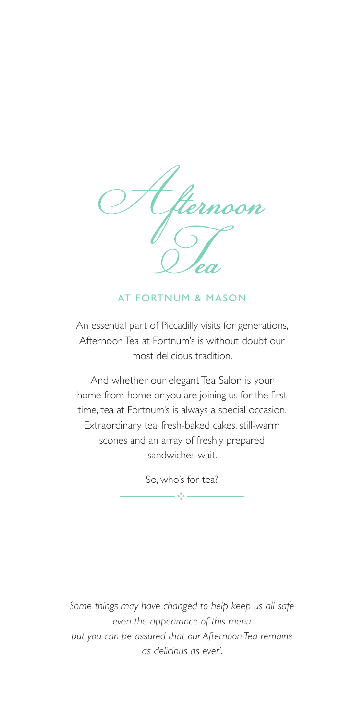

# AT FORTNUM & MASON

An essential part of Piccadilly visits for generations, Afternoon Tea at Fortnum's is without doubt our most delicious tradition.

And whether our elegant Tea Salon is your home-from-home or you are joining us for the first time, tea at Fortnum's is always a special occasion. Extraordinary tea, fresh-baked cakes, still-warm scones and an array of freshly prepared sandwiches wait.

So, who's for tea?

 $\frac{1}{2}$  :  $\frac{1}{2}$  :  $\frac{1}{2}$  :  $\frac{1}{2}$  :  $\frac{1}{2}$  :  $\frac{1}{2}$  :  $\frac{1}{2}$  :  $\frac{1}{2}$  :  $\frac{1}{2}$  :  $\frac{1}{2}$  :  $\frac{1}{2}$  :  $\frac{1}{2}$  :  $\frac{1}{2}$  :  $\frac{1}{2}$  :  $\frac{1}{2}$  :  $\frac{1}{2}$  :  $\frac{1}{2}$  :  $\frac{1}{2}$  :  $\frac{1$ 

*Some things may have changed to help keep us all safe – even the appearance of this menu – but you can be assured that our Afternoon Tea remains as delicious as ever'.*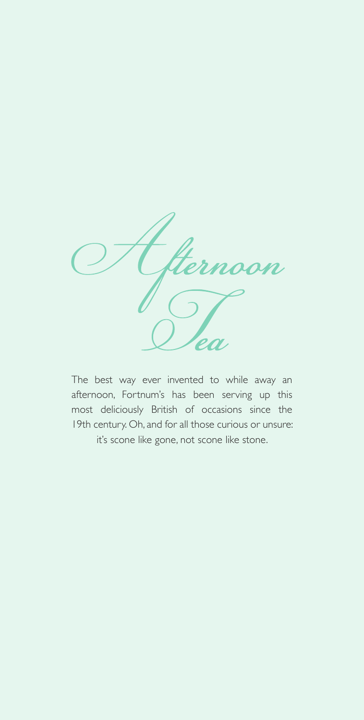

The best way ever invented to while away an afternoon, Fortnum's has been serving up this most deliciously British of occasions since the 19th century. Oh, and for all those curious or unsure: it's scone like gone, not scone like stone.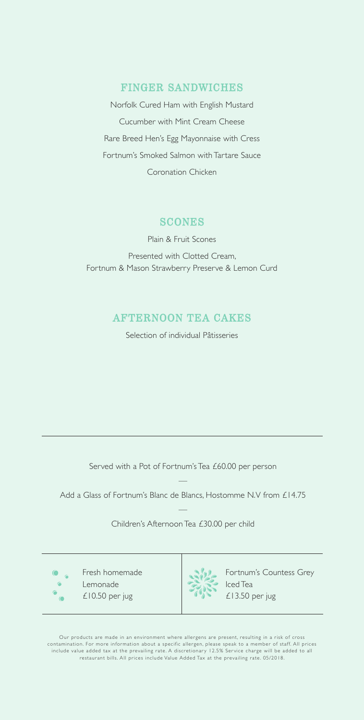## FINGER SANDWICHES

Norfolk Cured Ham with English Mustard Cucumber with Mint Cream Cheese Rare Breed Hen's Egg Mayonnaise with Cress Fortnum's Smoked Salmon with Tartare Sauce Coronation Chicken

## **SCONES**

Plain & Fruit Scones Presented with Clotted Cream, Fortnum & Mason Strawberry Preserve & Lemon Curd

# AFTERNOON TEA CAKES

Selection of individual Pâtisseries

Served with a Pot of Fortnum's Tea £60.00 per person

— Add a Glass of Fortnum's Blanc de Blancs, Hostomme N.V from £14.75

> — Children's Afternoon Tea £30.00 per child

 $\sqrt{2}$ 

Fresh homemade Lemonade £10.50 per jug



Fortnum's Countess Grey Iced Tea £13.50 per jug

Our products are made in an environment where allergens are present, resulting in a risk of cross<br>contamination. For more information about a specific allergen, please speak to a member of staff. All prices<br>include value a restaurant bills. All prices include Value Added Tax at the prevailing rate. 05/2018.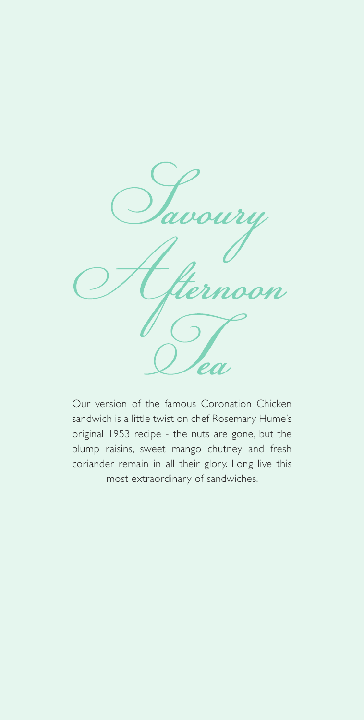

Our version of the famous Coronation Chicken sandwich is a little twist on chef Rosemary Hume's original 1953 recipe - the nuts are gone, but the plump raisins, sweet mango chutney and fresh coriander remain in all their glory. Long live this most extraordinary of sandwiches.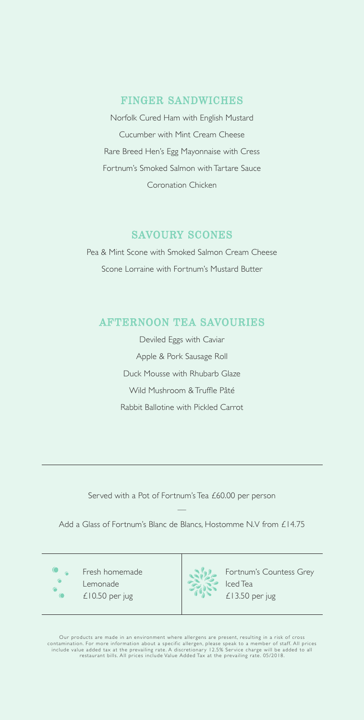## FINGER SANDWICHES

Norfolk Cured Ham with English Mustard Cucumber with Mint Cream Cheese Rare Breed Hen's Egg Mayonnaise with Cress Fortnum's Smoked Salmon with Tartare Sauce Coronation Chicken

## SAVOURY SCONES

Pea & Mint Scone with Smoked Salmon Cream Cheese Scone Lorraine with Fortnum's Mustard Butter

## AFTERNOON TEA SAVOURIES

Deviled Eggs with Caviar Apple & Pork Sausage Roll Duck Mousse with Rhubarb Glaze Wild Mushroom & Truffle Pâté Rabbit Ballotine with Pickled Carrot

Served with a Pot of Fortnum's Tea £60.00 per person

— Add a Glass of Fortnum's Blanc de Blancs, Hostomme N.V from £14.75

 $\bullet$  $\overline{C}$ 

Fresh homemade Lemonade £10.50 per jug



Fortnum's Countess Grey Iced Tea £13.50 per jug

Our products are made in an environment where allergens are present, resulting in a risk of cross<br>contamination. For more information about a specific allergen, please speak to a member of staff. All prices<br>include value a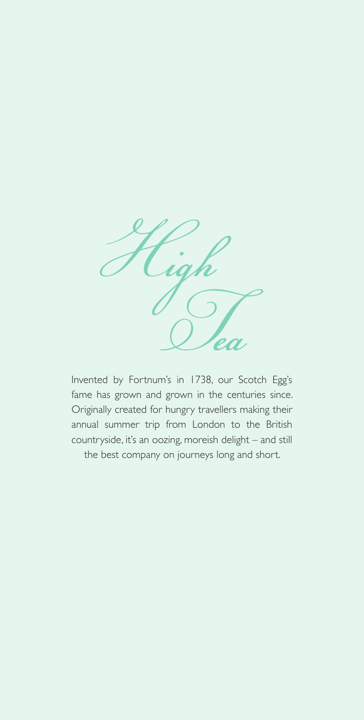

Invented by Fortnum's in 1738, our Scotch Egg's fame has grown and grown in the centuries since. Originally created for hungry travellers making their annual summer trip from London to the British countryside, it's an oozing, moreish delight – and still the best company on journeys long and short.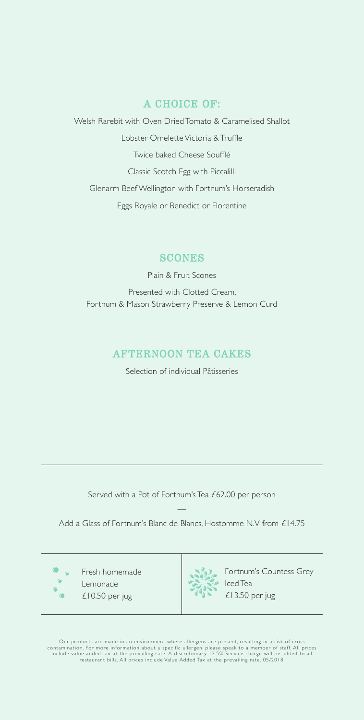# A CHOICE OF:

Welsh Rarebit with Oven Dried Tomato & Caramelised Shallot Lobster Omelette Victoria & Truffle Twice baked Cheese Soufflé Classic Scotch Egg with Piccalilli Glenarm Beef Wellington with Fortnum's Horseradish Eggs Royale or Benedict or Florentine

# **SCONES**

Plain & Fruit Scones Presented with Clotted Cream, Fortnum & Mason Strawberry Preserve & Lemon Curd

# AFTERNOON TEA CAKES

Selection of individual Pâtisseries

Served with a Pot of Fortnum's Tea £62.00 per person

— Add a Glass of Fortnum's Blanc de Blancs, Hostomme N.V from £14.75

 $\bullet$ 

Fresh homemade Lemonade £10.50 per jug



Fortnum's Countess Grey Iced Tea £13.50 per jug

Our products are made in an environment where allergens are present, resulting in a risk of cross<br>contamination. For more information about a specific allergen, please speak to a member of staff. All prices<br>include value a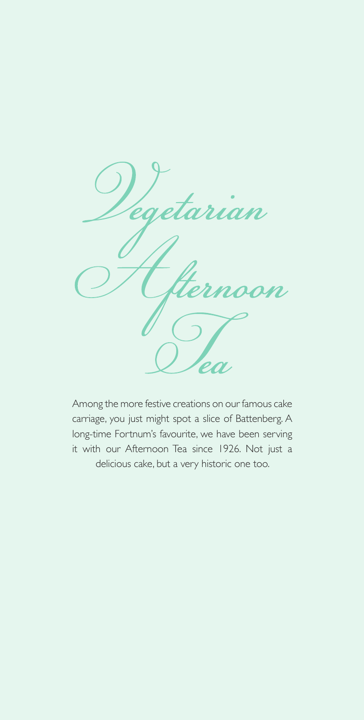

Among the more festive creations on our famous cake carriage, you just might spot a slice of Battenberg. A long-time Fortnum's favourite, we have been serving it with our Afternoon Tea since 1926. Not just a delicious cake, but a very historic one too.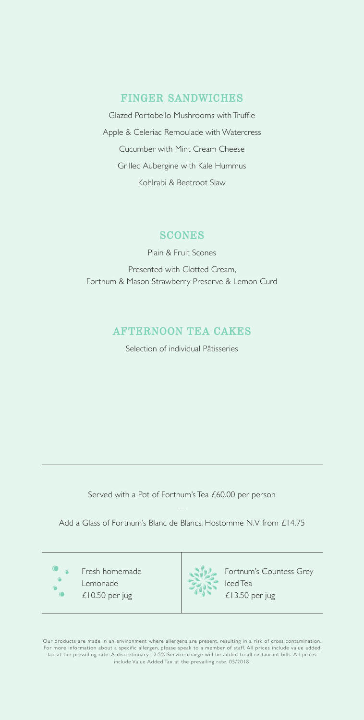## FINGER SANDWICHES

Glazed Portobello Mushrooms with Truffle Apple & Celeriac Remoulade with Watercress Cucumber with Mint Cream Cheese Grilled Aubergine with Kale Hummus Kohlrabi & Beetroot Slaw

#### **SCONES**

Plain & Fruit Scones Presented with Clotted Cream, Fortnum & Mason Strawberry Preserve & Lemon Curd

# AFTERNOON TEA CAKES

Selection of individual Pâtisseries

Served with a Pot of Fortnum's Tea £60.00 per person

— Add a Glass of Fortnum's Blanc de Blancs, Hostomme N.V from £14.75

 $\bigcap$  $\bullet$ 

Fresh homemade Lemonade £10.50 per jug



Fortnum's Countess Grey Iced Tea £13.50 per jug

Our products are made in an environment where allergens are present, resulting in a risk of cross contamination. For more information about a specific allergen, please speak to a member of staff. All prices include value added tax at the prevailing rate. A discretionary 12.5% Service charge will be added to all restaurant bills. All prices include Value Added Tax at the prevailing rate. 05/2018.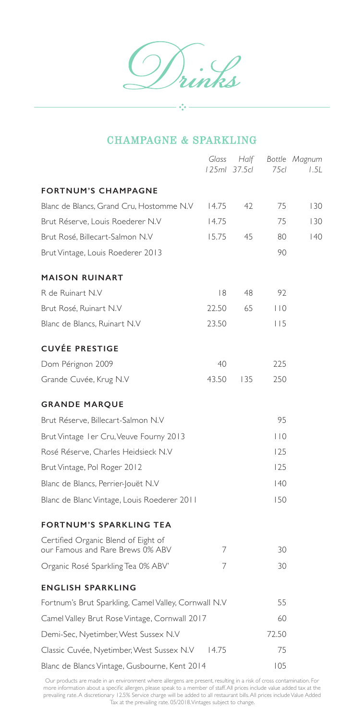# CHAMPAGNE & SPARKLING

 $\sigma_{\rm e}^2 \sigma$  .

|                                                                         | Glass | Half<br>125ml 37.5cl | 7.5c1     | Bottle Magnum<br>1.5L |
|-------------------------------------------------------------------------|-------|----------------------|-----------|-----------------------|
| <b>FORTNUM'S CHAMPAGNE</b>                                              |       |                      |           |                       |
| Blanc de Blancs, Grand Cru, Hostomme N.V                                | 14.75 | 42                   | 75        | 130                   |
| Brut Réserve, Louis Roederer N.V                                        | 14.75 |                      | 75        | 130                   |
| Brut Rosé, Billecart-Salmon N.V                                         | 15.75 | 45                   | 80        | 40                    |
| Brut Vintage, Louis Roederer 2013                                       |       |                      | 90        |                       |
| <b>MAISON RUINART</b>                                                   |       |                      |           |                       |
| R de Ruinart N.V                                                        | 8     | 48                   | 92        |                       |
| Brut Rosé, Ruinart N.V                                                  | 22.50 | 65                   | $ $ $ $ 0 |                       |
| Blanc de Blancs, Ruinart N.V                                            | 23.50 |                      | 115       |                       |
| <b>CUVÉE PRESTIGE</b>                                                   |       |                      |           |                       |
| Dom Pérignon 2009                                                       | 40    |                      | 225       |                       |
| Grande Cuvée, Krug N.V                                                  | 43.50 | 135                  | 250       |                       |
| <b>GRANDE MARQUE</b>                                                    |       |                      |           |                       |
| Brut Réserve, Billecart-Salmon N.V                                      |       |                      | 95        |                       |
| Brut Vintage I er Cru, Veuve Fourny 2013                                |       |                      | $ $ $ $ 0 |                       |
| Rosé Réserve, Charles Heidsieck N.V                                     |       |                      | 125       |                       |
| Brut Vintage, Pol Roger 2012                                            |       |                      | 125       |                       |
| Blanc de Blancs, Perrier-Jouët N.V                                      |       |                      | 40        |                       |
| Blanc de Blanc Vintage, Louis Roederer 2011                             |       |                      | 150       |                       |
| <b>FORTNUM'S SPARKLING TEA</b>                                          |       |                      |           |                       |
| Certified Organic Blend of Eight of<br>our Famous and Rare Brews 0% ABV | 7     |                      | 30        |                       |
| Organic Rosé Sparkling Tea 0% ABV'                                      | 7     |                      | 30        |                       |
| <b>ENGLISH SPARKLING</b>                                                |       |                      |           |                       |
| Fortnum's Brut Sparkling, Camel Valley, Cornwall N.V                    |       | 55                   |           |                       |
| Camel Valley Brut Rose Vintage, Cornwall 2017                           |       |                      | 60        |                       |
| Demi-Sec, Nyetimber, West Sussex N.V                                    |       |                      | 72.50     |                       |
| Classic Cuvée, Nyetimber, West Sussex N.V                               | 14.75 |                      | 75        |                       |
| Blanc de Blancs Vintage, Gusbourne, Kent 2014                           |       |                      | 105       |                       |

Our products are made in an environment where allergens are present, resulting in a risk of cross contamination. For more information about a specific allergen, please speak to a member of staff. All prices include value added tax at the prevailing rate. A discretionary 12.5% Service charge will be added to all restaurant bills. All prices include Value Added Tax at the prevailing rate. 05/2018. Vintages subject to change.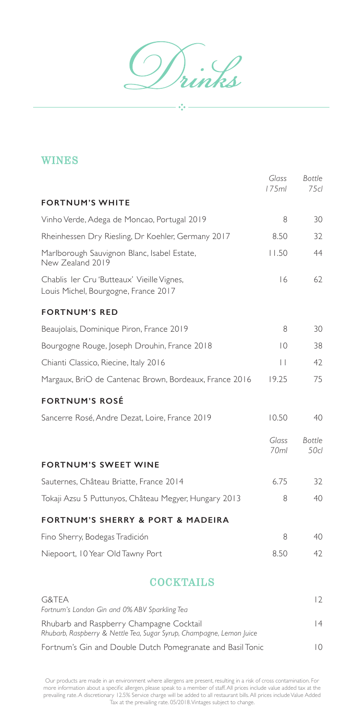$\int_{\mathcal{U}}$ ink

 $-\frac{1}{2}$ 

# WINES

|                                                                                    | Glass<br>175ml            | <b>Bottle</b><br>75cl |
|------------------------------------------------------------------------------------|---------------------------|-----------------------|
| <b>FORTNUM'S WHITE</b>                                                             |                           |                       |
| Vinho Verde, Adega de Moncao, Portugal 2019                                        | 8                         | 30                    |
| Rheinhessen Dry Riesling, Dr Koehler, Germany 2017                                 | 8.50                      | 32                    |
| Marlborough Sauvignon Blanc, Isabel Estate,<br>New Zealand 2019                    | 11.50                     | 44                    |
| Chablis Ier Cru 'Butteaux' Vieille Vignes,<br>Louis Michel, Bourgogne, France 2017 | 16                        | 62                    |
| <b>FORTNUM'S RED</b>                                                               |                           |                       |
| Beaujolais, Dominique Piron, France 2019                                           | 8                         | 30                    |
| Bourgogne Rouge, Joseph Drouhin, France 2018                                       | $\overline{0}$            | 38                    |
| Chianti Classico, Riecine, Italy 2016                                              | $\perp$                   | 42                    |
| Margaux, BriO de Cantenac Brown, Bordeaux, France 2016                             | 19.25                     | 75                    |
| <b>FORTNUM'S ROSÉ</b>                                                              |                           |                       |
| Sancerre Rosé, Andre Dezat, Loire, France 2019                                     | 10.50                     | 40                    |
|                                                                                    | Glass<br>70 <sub>ml</sub> | <b>Bottle</b><br>50cl |
| <b>FORTNUM'S SWEET WINE</b>                                                        |                           |                       |
| Sauternes, Château Briatte, France 2014                                            | 6.75                      | 32                    |
| Tokaji Azsu 5 Puttunyos, Château Megyer, Hungary 2013                              | 8                         | 40                    |
| <b>FORTNUM'S SHERRY &amp; PORT &amp; MADEIRA</b>                                   |                           |                       |
| Fino Sherry, Bodegas Tradición                                                     | 8                         | 40                    |
| Niepoort, 10 Year Old Tawny Port                                                   | 8.50                      | 42                    |
| <b>COCKTAILS</b>                                                                   |                           |                       |
| G&TEA                                                                              |                           | 12                    |

| Fortnum's London Gin and 0% ABV Sparkling Tea                                                                    |     |
|------------------------------------------------------------------------------------------------------------------|-----|
| Rhubarb and Raspberry Champagne Cocktail<br>Rhubarb, Raspberry & Nettle Tea, Sugar Syrup, Champagne, Lemon Juice | 4   |
| Fortnum's Gin and Double Dutch Pomegranate and Basil Tonic                                                       | I O |

Our products are made in an environment where allergens are present, resulting in a risk of cross contamination. For more information about a specific allergen, please speak to a member of staff. All prices include value added tax at the prevailing rate. A discretionary 12.5% Service charge will be added to all restaurant bills. All prices include Value Added Tax at the prevailing rate. 05/2018. Vintages subject to change.